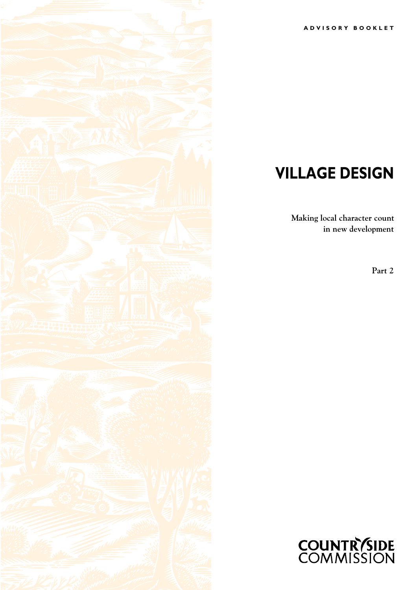

# **VILLAGE DESIGN**

**Making local character count in new development**

**Part 2**



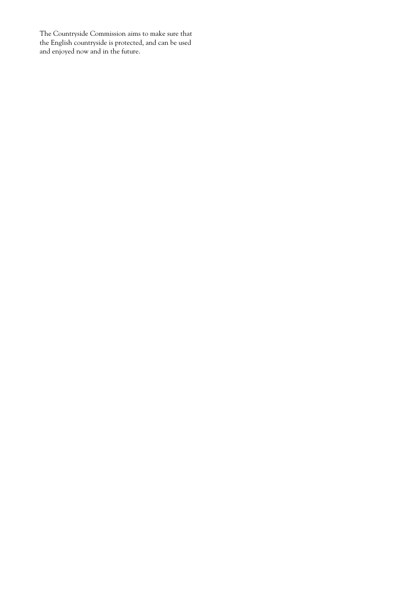The Countryside Commission aims to make sure that the English countryside is protected, and can be used and enjoyed now and in the future.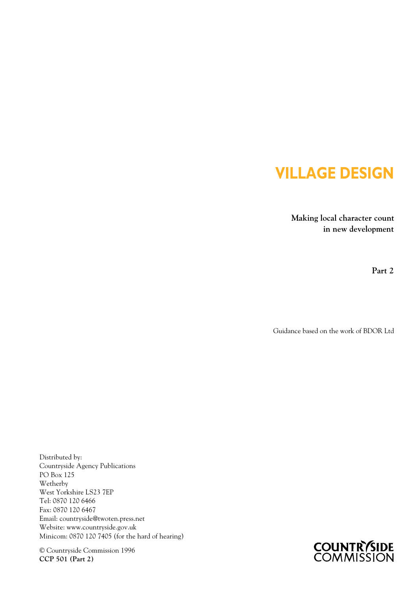# **VILLAGE DESIGN**

**Making local character count in new development**

**Part 2**

Guidance based on the work of BDOR Ltd

Distributed by: Countryside Agency Publications PO Box 125 Wetherby West Yorkshire LS23 7EP Tel: 0870 120 6466 Fax: 0870 120 6467 Email: countryside@twoten.press.net Website: www.countryside.gov.uk Minicom: 0870 120 7405 (for the hard of hearing)

© Countryside Commission 1996 **CCP 501 (Part 2)**

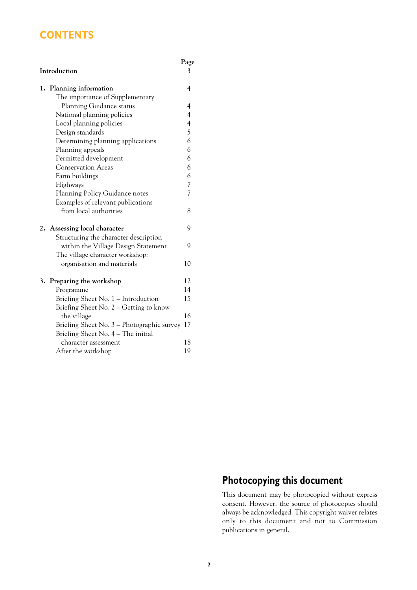# **CONTENTS**

# **Introduction**

**Page**

| 1. | Planning information                       | 4                        |
|----|--------------------------------------------|--------------------------|
|    | The importance of Supplementary            |                          |
|    | Planning Guidance status                   | $\overline{4}$           |
|    | National planning policies                 | $\overline{4}$           |
|    | Local planning policies                    | $\overline{\mathcal{A}}$ |
|    | Design standards                           | 5                        |
|    | Determining planning applications          | 6                        |
|    | Planning appeals                           | 6                        |
|    | Permitted development                      | 6                        |
|    | <b>Conservation Areas</b>                  | 6                        |
|    | Farm buildings                             | 6                        |
|    | Highways                                   | $\overline{\mathcal{U}}$ |
|    | Planning Policy Guidance notes             | $\overline{7}$           |
|    | Examples of relevant publications          |                          |
|    | from local authorities                     | 8                        |
|    | 2. Assessing local character               | 9                        |
|    | Structuring the character description      |                          |
|    | within the Village Design Statement        | 9                        |
|    | The village character workshop:            |                          |
|    | organisation and materials                 | 10                       |
|    | 3. Preparing the workshop                  | 12                       |
|    | Programme                                  | 14                       |
|    | Briefing Sheet No. 1 - Introduction        | 15                       |
|    | Briefing Sheet No. $2 -$ Getting to know   |                          |
|    | the village                                | 16                       |
|    | Briefing Sheet No. 3 – Photographic survey | 17                       |
|    | Briefing Sheet No. 4 – The initial         |                          |
|    | character assessment                       | 18                       |
|    | After the workshop                         | 19                       |

# **Photocopying this document**

This document may be photocopied without express consent. However, the source of photocopies should always be acknowledged. This copyright waiver relates only to this document and not to Commission publications in general.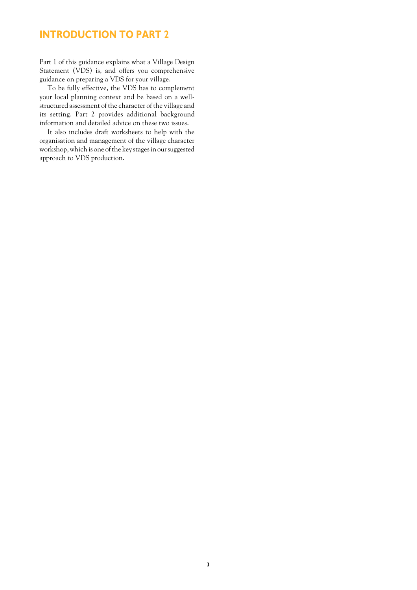# **INTRODUCTION TO PART 2**

Part 1 of this guidance explains what a Village Design Statement (VDS) is, and offers you comprehensive guidance on preparing a VDS for your village.

To be fully effective, the VDS has to complement your local planning context and be based on a wellstructured assessment of the character of the village and its setting. Part 2 provides additional background information and detailed advice on these two issues.

It also includes draft worksheets to help with the organisation and management of the village character workshop, which is one of the key stages in our suggested approach to VDS production.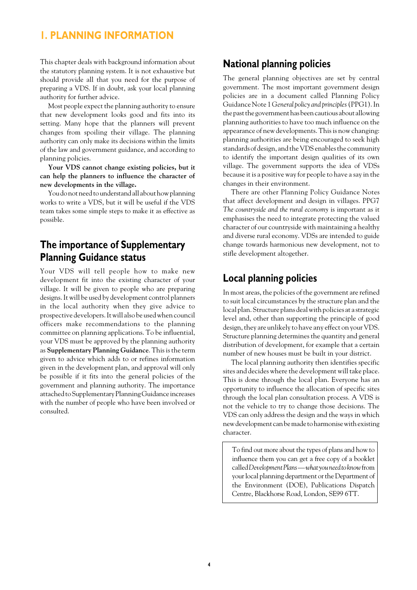#### **1. PLANNING INFORMATION**

This chapter deals with background information about the statutory planning system. It is not exhaustive but should provide all that you need for the purpose of preparing a VDS. If in doubt, ask your local planning authority for further advice.

Most people expect the planning authority to ensure that new development looks good and fits into its setting. Many hope that the planners will prevent changes from spoiling their village. The planning authority can only make its decisions within the limits of the law and government guidance, and according to planning policies.

**Your VDS cannot change existing policies, but it can help the planners to influence the character of new developments in the village.**

You do not need to understand all about how planning works to write a VDS, but it will be useful if the VDS team takes some simple steps to make it as effective as possible.

### **The importance of Supplementary Planning Guidance status**

Your VDS will tell people how to make new development fit into the existing character of your village. It will be given to people who are preparing designs. It will be used by development control planners in the local authority when they give advice to prospective developers. It will also be used when council officers make recommendations to the planning committee on planning applications. To be influential, your VDS must be approved by the planning authority as **Supplementary Planning Guidance**. This is the term given to advice which adds to or refines information given in the development plan, and approval will only be possible if it fits into the general policies of the government and planning authority. The importance attached to Supplementary Planning Guidance increases with the number of people who have been involved or consulted.

#### **National planning policies**

The general planning objectives are set by central government. The most important government design policies are in a document called Planning Policy Guidance Note 1 *General policy and principles* (PPG1). In the past the government has been cautious about allowing planning authorities to have too much influence on the appearance of new developments. This is now changing: planning authorities are being encouraged to seek high standards of design, and the VDS enables the community to identify the important design qualities of its own village. The government supports the idea of VDSs because it is a positive way for people to have a say in the changes in their environment.

There are other Planning Policy Guidance Notes that affect development and design in villages. PPG7 *The countryside and the rural economy* is important as it emphasises the need to integrate protecting the valued character of our countryside with maintaining a healthy and diverse rural economy. VDSs are intended to guide change towards harmonious new development, not to stifle development altogether.

#### **Local planning policies**

In most areas, the policies of the government are refined to suit local circumstances by the structure plan and the local plan. Structure plans deal with policies at a strategic level and, other than supporting the principle of good design, they are unlikely to have any effect on your VDS. Structure planning determines the quantity and general distribution of development, for example that a certain number of new houses must be built in your district.

The local planning authority then identifies specific sites and decides where the development will take place. This is done through the local plan. Everyone has an opportunity to influence the allocation of specific sites through the local plan consultation process. A VDS is not the vehicle to try to change those decisions. The VDS can only address the design and the ways in which new development can be made to harmonise with existing character.

To find out more about the types of plans and how to influence them you can get a free copy of a booklet called *Development Plans — what you need to know* from your local planning department or the Department of the Environment (DOE), Publications Dispatch Centre, Blackhorse Road, London, SE99 6TT.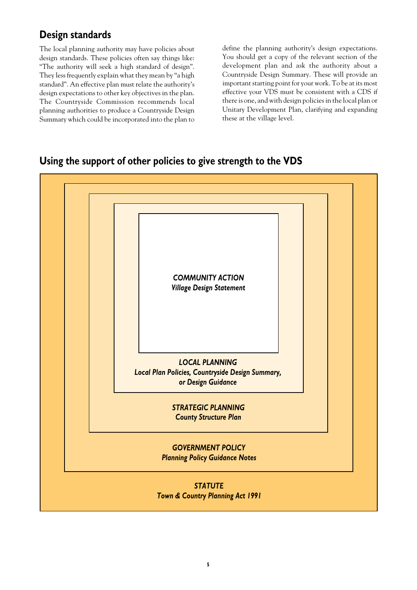# **Design standards**

The local planning authority may have policies about design standards. These policies often say things like: "The authority will seek a high standard of design". They less frequently explain what they mean by "a high standard". An effective plan must relate the authority's design expectations to other key objectives in the plan. The Countryside Commission recommends local planning authorities to produce a Countryside Design Summary which could be incorporated into the plan to define the planning authority's design expectations. You should get a copy of the relevant section of the development plan and ask the authority about a Countryside Design Summary. These will provide an important starting point for your work. To be at its most effective your VDS must be consistent with a CDS if there is one, and with design policies in the local plan or Unitary Development Plan, clarifying and expanding these at the village level.

#### **Using the support of other policies to give strength to the VDS**

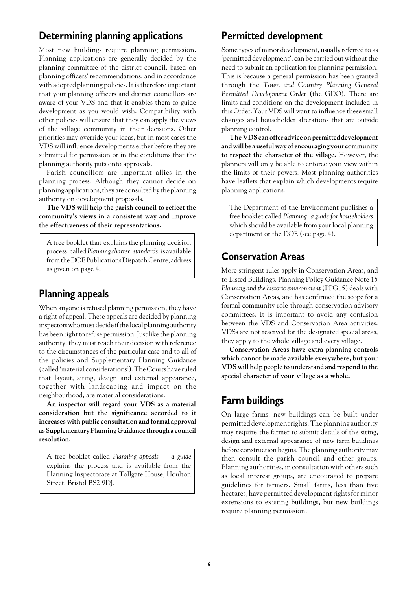### **Determining planning applications**

Most new buildings require planning permission. Planning applications are generally decided by the planning committee of the district council, based on planning officers' recommendations, and in accordance with adopted planning policies. It is therefore important that your planning officers and district councillors are aware of your VDS and that it enables them to guide development as you would wish. Compatibility with other policies will ensure that they can apply the views of the village community in their decisions. Other priorities may override your ideas, but in most cases the VDS will influence developments either before they are submitted for permission or in the conditions that the planning authority puts onto approvals.

Parish councillors are important allies in the planning process. Although they cannot decide on planning applications, they are consulted by the planning authority on development proposals.

**The VDS will help the parish council to reflect the community's views in a consistent way and improve the effectiveness of their representations.**

A free booklet that explains the planning decision process, called *Planning charter: standards*, is available from the DOE Publications Dispatch Centre, address as given on page 4.

#### **Planning appeals**

When anyone is refused planning permission, they have a right of appeal. These appeals are decided by planning inspectors who must decide if the local planning authority has been right to refuse permission. Just like the planning authority, they must reach their decision with reference to the circumstances of the particular case and to all of the policies and Supplementary Planning Guidance (called 'material considerations'). The Courts have ruled that layout, siting, design and external appearance, together with landscaping and impact on the neighbourhood, are material considerations.

**An inspector will regard your VDS as a material consideration but the significance accorded to it increases with public consultation and formal approval as Supplementary Planning Guidance through a council resolution.**

A free booklet called *Planning appeals — a guide* explains the process and is available from the Planning Inspectorate at Tollgate House, Houlton Street, Bristol BS2 9DJ.

### **Permitted development**

Some types of minor development, usually referred to as 'permitted development', can be carried out without the need to submit an application for planning permission. This is because a general permission has been granted through the *Town and Country Planning General Permitted Development Order* (the GDO). There are limits and conditions on the development included in this Order. Your VDS will want to influence these small changes and householder alterations that are outside planning control.

**The VDS can offer advice on permitted development and will be a useful way of encouraging your community to respect the character of the village.** However, the planners will only be able to enforce your view within the limits of their powers. Most planning authorities have leaflets that explain which developments require planning applications.

The Department of the Environment publishes a free booklet called *Planning, a guide for householders* which should be available from your local planning department or the DOE (see page 4).

#### **Conservation Areas**

More stringent rules apply in Conservation Areas, and to Listed Buildings. Planning Policy Guidance Note 15 *Planning and the historic environment* (PPG15) deals with Conservation Areas, and has confirmed the scope for a formal community role through conservation advisory committees. It is important to avoid any confusion between the VDS and Conservation Area activities. VDSs are not reserved for the designated special areas, they apply to the whole village and every village.

**Conservation Areas have extra planning controls which cannot be made available everywhere, but your VDS will help people to understand and respond to the special character of your village as a whole.**

#### **Farm buildings**

On large farms, new buildings can be built under permitted development rights. The planning authority may require the farmer to submit details of the siting, design and external appearance of new farm buildings before construction begins. The planning authority may then consult the parish council and other groups. Planning authorities, in consultation with others such as local interest groups, are encouraged to prepare guidelines for farmers. Small farms, less than five hectares, have permitted development rights for minor extensions to existing buildings, but new buildings require planning permission.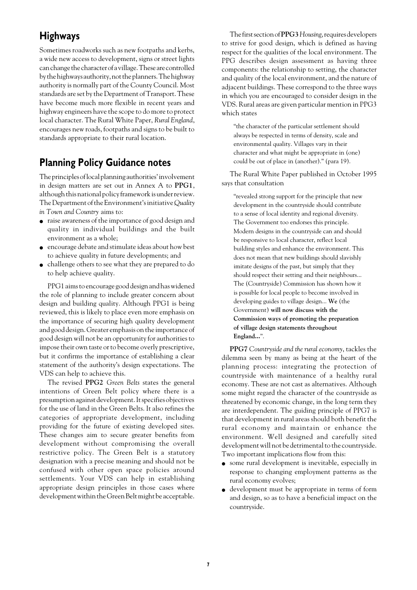## **Highways**

Sometimes roadworks such as new footpaths and kerbs, a wide new access to development, signs or street lights can change the character of a village. These are controlled by the highways authority, not the planners. The highway authority is normally part of the County Council. Most standards are set by the Department of Transport. These have become much more flexible in recent years and highway engineers have the scope to do more to protect local character. The Rural White Paper, *Rural England*, encourages new roads, footpaths and signs to be built to standards appropriate to their rural location.

#### **Planning Policy Guidance notes**

The principles of local planning authorities' involvement in design matters are set out in Annex A to **PPG1**, although this national policy framework is under review. The Department of the Environment's initiative *Quality in Town and Country* aims to:

- raise awareness of the importance of good design and quality in individual buildings and the built environment as a whole;
- encourage debate and stimulate ideas about how best to achieve quality in future developments; and
- challenge others to see what they are prepared to do to help achieve quality.

PPG1 aims to encourage good design and has widened the role of planning to include greater concern about design and building quality. Although PPG1 is being reviewed, this is likely to place even more emphasis on the importance of securing high quality development and good design. Greater emphasis on the importance of good design will not be an opportunity for authorities to impose their own taste or to become overly prescriptive, but it confirms the importance of establishing a clear statement of the authority's design expectations. The VDS can help to achieve this.

The revised **PPG2** *Green Belts* states the general intentions of Green Belt policy where there is a presumption against development. It specifies objectives for the use of land in the Green Belts. It also refines the categories of appropriate development, including providing for the future of existing developed sites. These changes aim to secure greater benefits from development without compromising the overall restrictive policy. The Green Belt is a statutory designation with a precise meaning and should not be confused with other open space policies around settlements. Your VDS can help in establishing appropriate design principles in those cases where development within the Green Belt might be acceptable.

The first section of **PPG3** *Housing*, requires developers to strive for good design, which is defined as having respect for the qualities of the local environment. The PPG describes design assessment as having three components: the relationship to setting, the character and quality of the local environment, and the nature of adjacent buildings. These correspond to the three ways in which you are encouraged to consider design in the VDS. Rural areas are given particular mention in PPG3 which states

"the character of the particular settlement should always be respected in terms of density, scale and environmental quality. Villages vary in their character and what might be appropriate in (one) could be out of place in (another)." (para 19).

The Rural White Paper published in October 1995 says that consultation

"revealed strong support for the principle that new development in the countryside should contribute to a sense of local identity and regional diversity. The Government too endorses this principle. Modern designs in the countryside can and should be responsive to local character, reflect local building styles and enhance the environment. This does not mean that new buildings should slavishly imitate designs of the past, but simply that they should respect their setting and their neighbours... The (Countryside) Commission has shown how it is possible for local people to become involved in developing guides to village design... **We** (the Government) **will now discuss with the Commission ways of promoting the preparation of village design statements throughout England...**".

**PPG7** *Countryside and the rural economy*, tackles the dilemma seen by many as being at the heart of the planning process: integrating the protection of countryside with maintenance of a healthy rural economy. These are not cast as alternatives. Although some might regard the character of the countryside as threatened by economic change, in the long term they are interdependent. The guiding principle of PPG7 is that development in rural areas should both benefit the rural economy and maintain or enhance the environment. Well designed and carefully sited development will not be detrimental to the countryside. Two important implications flow from this:

- some rural development is inevitable, especially in response to changing employment patterns as the rural economy evolves;
- development must be appropriate in terms of form and design, so as to have a beneficial impact on the countryside.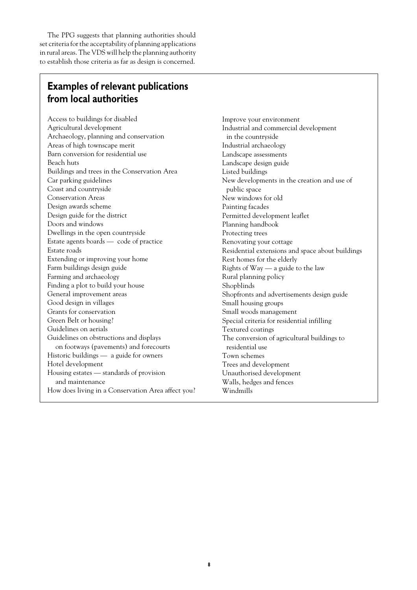The PPG suggests that planning authorities should set criteria for the acceptability of planning applications in rural areas. The VDS will help the planning authority to establish those criteria as far as design is concerned.

### **Examples of relevant publications from local authorities**

Access to buildings for disabled Agricultural development Archaeology, planning and conservation Areas of high townscape merit Barn conversion for residential use Beach huts Buildings and trees in the Conservation Area Car parking guidelines Coast and countryside Conservation Areas Design awards scheme Design guide for the district Doors and windows Dwellings in the open countryside Estate agents boards — code of practice Estate roads Extending or improving your home Farm buildings design guide Farming and archaeology Finding a plot to build your house General improvement areas Good design in villages Grants for conservation Green Belt or housing? Guidelines on aerials Guidelines on obstructions and displays on footways (pavements) and forecourts Historic buildings — a guide for owners Hotel development Housing estates — standards of provision and maintenance How does living in a Conservation Area affect you? Improve your environment Industrial and commercial development in the countryside Industrial archaeology Landscape assessments Landscape design guide Listed buildings New developments in the creation and use of public space New windows for old Painting facades Permitted development leaflet Planning handbook Protecting trees Renovating your cottage Residential extensions and space about buildings Rest homes for the elderly Rights of Way — a guide to the law Rural planning policy Shopblinds Shopfronts and advertisements design guide Small housing groups Small woods management Special criteria for residential infilling Textured coatings The conversion of agricultural buildings to residential use Town schemes Trees and development Unauthorised development Walls, hedges and fences Windmills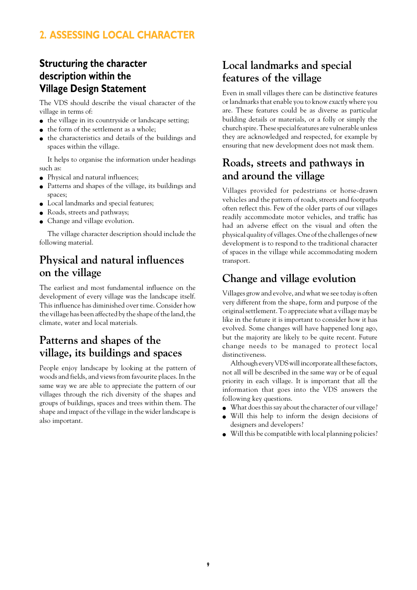# **2. ASSESSING LOCAL CHARACTER**

# **Structuring the character description within the Village Design Statement**

The VDS should describe the visual character of the village in terms of:

- the village in its countryside or landscape setting;
- the form of the settlement as a whole;
- the characteristics and details of the buildings and spaces within the village.

It helps to organise the information under headings such as:

- Physical and natural influences;
- Patterns and shapes of the village, its buildings and spaces;
- Local landmarks and special features;
- Roads, streets and pathways;
- Change and village evolution.

The village character description should include the following material.

# **Physical and natural influences on the village**

The earliest and most fundamental influence on the development of every village was the landscape itself. This influence has diminished over time. Consider how the village has been affected by the shape of the land, the climate, water and local materials.

# **Patterns and shapes of the village, its buildings and spaces**

People enjoy landscape by looking at the pattern of woods and fields, and views from favourite places. In the same way we are able to appreciate the pattern of our villages through the rich diversity of the shapes and groups of buildings, spaces and trees within them. The shape and impact of the village in the wider landscape is also important.

# **Local landmarks and special features of the village**

Even in small villages there can be distinctive features or landmarks that enable you to know *exactly* where you are. These features could be as diverse as particular building details or materials, or a folly or simply the church spire. These special features are vulnerable unless they are acknowledged and respected, for example by ensuring that new development does not mask them.

## **Roads, streets and pathways in and around the village**

Villages provided for pedestrians or horse-drawn vehicles and the pattern of roads, streets and footpaths often reflect this. Few of the older parts of our villages readily accommodate motor vehicles, and traffic has had an adverse effect on the visual and often the physical quality of villages. One of the challenges of new development is to respond to the traditional character of spaces in the village while accommodating modern transport.

# **Change and village evolution**

Villages grow and evolve, and what we see today is often very different from the shape, form and purpose of the original settlement. To appreciate what a village may be like in the future it is important to consider how it has evolved. Some changes will have happened long ago, but the majority are likely to be quite recent. Future change needs to be managed to protect local distinctiveness.

Although every VDS will incorporate all these factors, not all will be described in the same way or be of equal priority in each village. It is important that all the information that goes into the VDS answers the following key questions.

- What does this say about the character of our village?
- Will this help to inform the design decisions of designers and developers?
- Will this be compatible with local planning policies?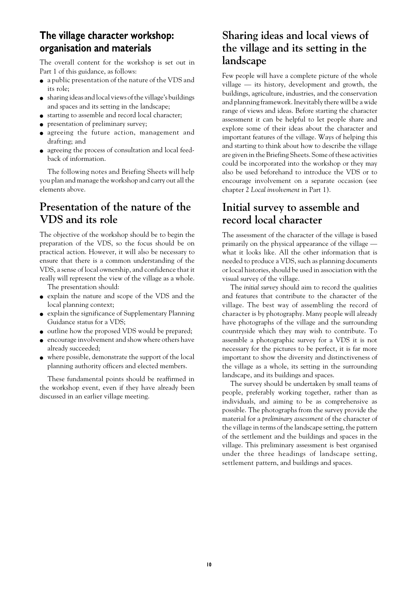#### **The village character workshop: organisation and materials**

The overall content for the workshop is set out in Part 1 of this guidance, as follows:

- a public presentation of the nature of the VDS and its role;
- sharing ideas and local views of the village's buildings and spaces and its setting in the landscape;
- starting to assemble and record local character;
- presentation of preliminary survey;
- agreeing the future action, management and drafting; and
- agreeing the process of consultation and local feedback of information.

The following notes and Briefing Sheets will help you plan and manage the workshop and carry out all the elements above.

### **Presentation of the nature of the VDS and its role**

The objective of the workshop should be to begin the preparation of the VDS, so the focus should be on practical action. However, it will also be necessary to ensure that there is a common understanding of the VDS, a sense of local ownership, and confidence that it really will represent the view of the village as a whole.

The presentation should:

- explain the nature and scope of the VDS and the local planning context;
- explain the significance of Supplementary Planning Guidance status for a VDS;
- outline how the proposed VDS would be prepared;
- encourage involvement and show where others have already succeeded;
- where possible, demonstrate the support of the local planning authority officers and elected members.

These fundamental points should be reaffirmed in the workshop event, even if they have already been discussed in an earlier village meeting.

# **Sharing ideas and local views of the village and its setting in the landscape**

Few people will have a complete picture of the whole village — its history, development and growth, the buildings, agriculture, industries, and the conservation and planning framework. Inevitably there will be a wide range of views and ideas. Before starting the character assessment it can be helpful to let people share and explore some of their ideas about the character and important features of the village. Ways of helping this and starting to think about how to describe the village are given in the Briefing Sheets. Some of these activities could be incorporated into the workshop or they may also be used beforehand to introduce the VDS or to encourage involvement on a separate occasion (see chapter 2 *Local involvement* in Part 1).

# **Initial survey to assemble and record local character**

The assessment of the character of the village is based primarily on the physical appearance of the village what it looks like. All the other information that is needed to produce a VDS, such as planning documents or local histories, should be used in association with the visual survey of the village.

The *initial survey* should aim to record the qualities and features that contribute to the character of the village. The best way of assembling the record of character is by photography. Many people will already have photographs of the village and the surrounding countryside which they may wish to contribute. To assemble a photographic survey for a VDS it is not necessary for the pictures to be perfect, it is far more important to show the diversity and distinctiveness of the village as a whole, its setting in the surrounding landscape, and its buildings and spaces.

The survey should be undertaken by small teams of people, preferably working together, rather than as individuals, and aiming to be as comprehensive as possible. The photographs from the survey provide the material for a *preliminary assessment* of the character of the village in terms of the landscape setting, the pattern of the settlement and the buildings and spaces in the village. This preliminary assessment is best organised under the three headings of landscape setting, settlement pattern, and buildings and spaces.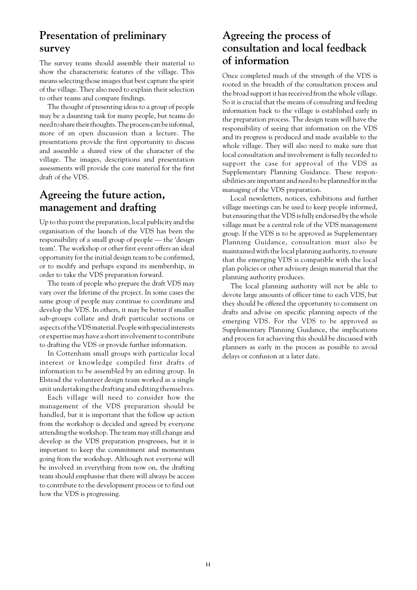# **Presentation of preliminary survey**

The survey teams should assemble their material to show the characteristic features of the village. This means selecting those images that best capture the spirit of the village. They also need to explain their selection to other teams and compare findings.

The thought of presenting ideas to a group of people may be a daunting task for many people, but teams do need to share their thoughts. The process can be informal, more of an open discussion than a lecture. The presentations provide the first opportunity to discuss and assemble a shared view of the character of the village. The images, descriptions and presentation assessments will provide the core material for the first draft of the VDS.

# **Agreeing the future action, management and drafting**

Up to this point the preparation, local publicity and the organisation of the launch of the VDS has been the responsibility of a small group of people — the 'design team'. The workshop or other first event offers an ideal opportunity for the initial design team to be confirmed, or to modify and perhaps expand its membership, in order to take the VDS preparation forward.

The team of people who prepare the draft VDS may vary over the lifetime of the project. In some cases the same group of people may continue to coordinate and develop the VDS. In others, it may be better if smaller sub-groups collate and draft particular sections or aspects of the VDS material. People with special interests or expertise may have a short involvement to contribute to drafting the VDS or provide further information.

In Cottenham small groups with particular local interest or knowledge compiled first drafts of information to be assembled by an editing group. In Elstead the volunteer design team worked as a single unit undertaking the drafting and editing themselves.

Each village will need to consider how the management of the VDS preparation should be handled, but it is important that the follow up action from the workshop is decided and agreed by everyone attending the workshop. The team may still change and develop as the VDS preparation progresses, but it is important to keep the commitment and momentum going from the workshop. Although not everyone will be involved in everything from now on, the drafting team should emphasise that there will always be access to contribute to the development process or to find out how the VDS is progressing.

# **Agreeing the process of consultation and local feedback of information**

Once completed much of the strength of the VDS is rooted in the breadth of the consultation process and the broad support it has received from the whole village. So it is crucial that the means of consulting and feeding information back to the village is established early in the preparation process. The design team will have the responsibility of seeing that information on the VDS and its progress is produced and made available to the whole village. They will also need to make sure that local consultation and involvement is fully recorded to support the case for approval of the VDS as Supplementary Planning Guidance. These responsibilities are important and need to be planned for in the managing of the VDS preparation.

Local newsletters, notices, exhibitions and further village meetings can be used to keep people informed, but ensuring that the VDS is fully endorsed by the whole village must be a central role of the VDS management group. If the VDS is to be approved as Supplementary Planning Guidance, consultation must also be maintained with the local planning authority, to ensure that the emerging VDS is compatible with the local plan policies or other advisory design material that the planning authority produces.

The local planning authority will not be able to devote large amounts of officer time to each VDS, but they should be offered the opportunity to comment on drafts and advise on specific planning aspects of the emerging VDS. For the VDS to be approved as Supplementary Planning Guidance, the implications and process for achieving this should be discussed with planners as early in the process as possible to avoid delays or confusion at a later date.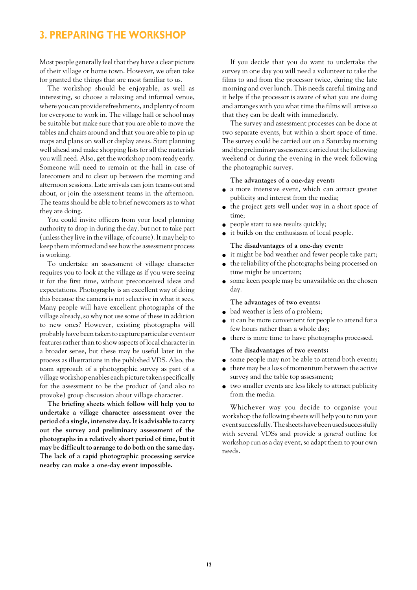#### **3. PREPARING THE WORKSHOP**

Most people generally feel that they have a clear picture of their village or home town. However, we often take for granted the things that are most familiar to us.

The workshop should be enjoyable, as well as interesting, so choose a relaxing and informal venue, where you can provide refreshments, and plenty of room for everyone to work in. The village hall or school may be suitable but make sure that you are able to move the tables and chairs around and that you are able to pin up maps and plans on wall or display areas. Start planning well ahead and make shopping lists for all the materials you will need. Also, get the workshop room ready early. Someone will need to remain at the hall in case of latecomers and to clear up between the morning and afternoon sessions. Late arrivals can join teams out and about, or join the assessment teams in the afternoon. The teams should be able to brief newcomers as to what they are doing.

You could invite officers from your local planning authority to drop in during the day, but not to take part (unless they live in the village, of course). It may help to keep them informed and see how the assessment process is working.

To undertake an assessment of village character requires you to look at the village as if you were seeing it for the first time, without preconceived ideas and expectations. Photography is an excellent way of doing this because the camera is not selective in what it sees. Many people will have excellent photographs of the village already, so why not use some of these in addition to new ones? However, existing photographs will probably have been taken to capture particular events or features rather than to show aspects of local character in a broader sense, but these may be useful later in the process as illustrations in the published VDS. Also, the team approach of a photographic survey as part of a village workshop enables each picture taken specifically for the assessment to be the product of (and also to provoke) group discussion about village character.

**The briefing sheets which follow will help you to undertake a village character assessment over the period of a single, intensive day. It is advisable to carry out the survey and preliminary assessment of the photographs in a relatively short period of time, but it may be difficult to arrange to do both on the same day. The lack of a rapid photographic processing service nearby can make a one-day event impossible.**

If you decide that you do want to undertake the survey in one day you will need a volunteer to take the films to and from the processor twice, during the late morning and over lunch. This needs careful timing and it helps if the processor is aware of what you are doing and arranges with you what time the films will arrive so that they can be dealt with immediately.

The survey and assessment processes can be done at two separate events, but within a short space of time. The survey could be carried out on a Saturday morning and the preliminary assessment carried out the following weekend or during the evening in the week following the photographic survey.

#### **The advantages of a one-day event:**

- a more intensive event, which can attract greater publicity and interest from the media;
- the project gets well under way in a short space of time;
- people start to see results quickly;
- it builds on the enthusiasm of local people.

#### **The disadvantages of a one-day event:**

- it might be bad weather and fewer people take part;
- the reliability of the photographs being processed on time might be uncertain;
- some keen people may be unavailable on the chosen day.

#### **The advantages of two events:**

- bad weather is less of a problem;
- it can be more convenient for people to attend for a few hours rather than a whole day;
- there is more time to have photographs processed.

#### **The disadvantages of two events:**

- some people may not be able to attend both events;
- there may be a loss of momentum between the active survey and the table top assessment;
- two smaller events are less likely to attract publicity from the media.

Whichever way you decide to organise your workshop the following sheets will help you to run your event successfully. The sheets have been used successfully with several VDSs and provide a *general* outline for workshop run as a day event, so adapt them to your own needs.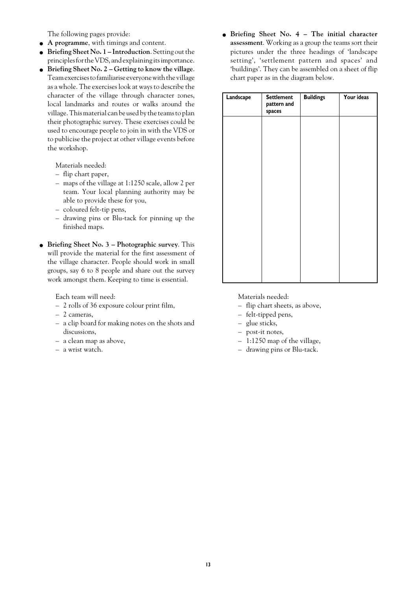The following pages provide:

- **A programme**, with timings and content.
- **Briefing Sheet No. 1 Introduction**. Setting out the principles for the VDS, and explaining its importance.
- **Briefing Sheet No. 2 Getting to know the village**. Team exercises to familiarise everyone with the village as a whole. The exercises look at ways to describe the character of the village through character zones, local landmarks and routes or walks around the village. This material can be used by the teams to plan their photographic survey. These exercises could be used to encourage people to join in with the VDS or to publicise the project at other village events before the workshop.

Materials needed:

- flip chart paper,
- maps of the village at 1:1250 scale, allow 2 per team. Your local planning authority may be able to provide these for you,
- coloured felt-tip pens,
- drawing pins or Blu-tack for pinning up the finished maps.
- **Briefing Sheet No. 3 Photographic survey**. This will provide the material for the first assessment of the village character. People should work in small groups, say 6 to 8 people and share out the survey work amongst them. Keeping to time is essential.

Each team will need:

- 2 rolls of 36 exposure colour print film,
- 2 cameras,
- a clip board for making notes on the shots and discussions,
- a clean map as above,
- a wrist watch.

● **Briefing Sheet No. 4 – The initial character assessment**. Working as a group the teams sort their pictures under the three headings of 'landscape setting', 'settlement pattern and spaces' and 'buildings'. They can be assembled on a sheet of flip chart paper as in the diagram below.

| Landscape | <b>Settlement</b><br>pattern and<br>spaces | <b>Buildings</b> | Your ideas |
|-----------|--------------------------------------------|------------------|------------|
|           |                                            |                  |            |
|           |                                            |                  |            |
|           |                                            |                  |            |
|           |                                            |                  |            |
|           |                                            |                  |            |
|           |                                            |                  |            |
|           |                                            |                  |            |
|           |                                            |                  |            |

Materials needed:

- flip chart sheets, as above,
- felt-tipped pens,
- glue sticks,
- post-it notes,
- 1:1250 map of the village,
- drawing pins or Blu-tack.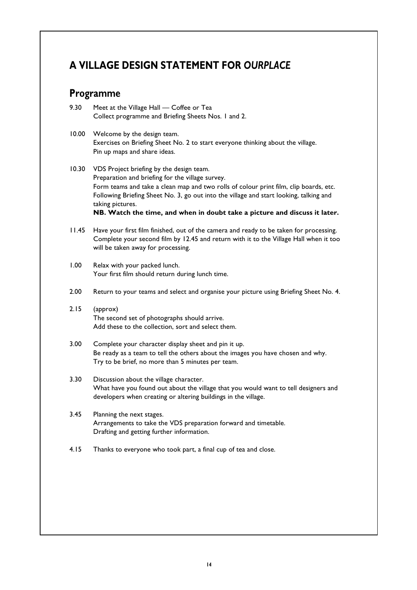# **A VILLAGE DESIGN STATEMENT FOR** *OURPLACE*

#### **Programme**

- 9.30 Meet at the Village Hall Coffee or Tea Collect programme and Briefing Sheets Nos. 1 and 2.
- 10.00 Welcome by the design team. Exercises on Briefing Sheet No. 2 to start everyone thinking about the village. Pin up maps and share ideas.
- 10.30 VDS Project briefing by the design team. Preparation and briefing for the village survey. Form teams and take a clean map and two rolls of colour print film, clip boards, etc. Following Briefing Sheet No. 3, go out into the village and start looking, talking and taking pictures. **NB. Watch the time, and when in doubt take a picture and discuss it later.**
- 11.45 Have your first film finished, out of the camera and ready to be taken for processing. Complete your second film by 12.45 and return with it to the Village Hall when it too will be taken away for processing.
- 1.00 Relax with your packed lunch. Your first film should return during lunch time.
- 2.00 Return to your teams and select and organise your picture using Briefing Sheet No. 4.
- 2.15 (approx) The second set of photographs should arrive. Add these to the collection, sort and select them.
- 3.00 Complete your character display sheet and pin it up. Be ready as a team to tell the others about the images you have chosen and why. Try to be brief, no more than 5 minutes per team.
- 3.30 Discussion about the village character. What have you found out about the village that you would want to tell designers and developers when creating or altering buildings in the village.
- 3.45 Planning the next stages. Arrangements to take the VDS preparation forward and timetable. Drafting and getting further information.
- 4.15 Thanks to everyone who took part, a final cup of tea and close.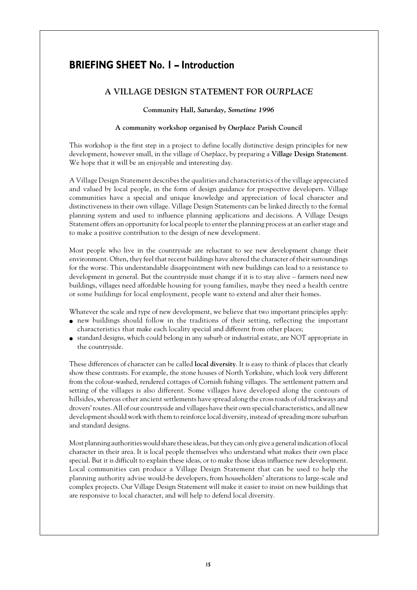### **BRIEFING SHEET No. 1 – Introduction**

#### **A VILLAGE DESIGN STATEMENT FOR** *OURPLACE*

#### **Community Hall,** *Saturday, Sometime 1996*

#### **A community workshop organised by** *Ourplace* **Parish Council**

This workshop is the first step in a project to define locally distinctive design principles for new development, however small, in the village of *Ourplace*, by preparing a **Village Design Statement**. We hope that it will be an enjoyable and interesting day.

A Village Design Statement describes the qualities and characteristics of the village appreciated and valued by local people, in the form of design guidance for prospective developers. Village communities have a special and unique knowledge and appreciation of local character and distinctiveness in their own village. Village Design Statements can be linked directly to the formal planning system and used to influence planning applications and decisions. A Village Design Statement offers an opportunity for local people to enter the planning process at an earlier stage and to make a positive contribution to the design of new development.

Most people who live in the countryside are reluctant to see new development change their environment. Often, they feel that recent buildings have altered the character of their surroundings for the worse. This understandable disappointment with new buildings can lead to a resistance to development in general. But the countryside must change if it is to stay alive – farmers need new buildings, villages need affordable housing for young families, maybe they need a health centre or some buildings for local employment, people want to extend and alter their homes.

Whatever the scale and type of new development, we believe that two important principles apply:

- new buildings should follow in the traditions of their setting, reflecting the important characteristics that make each locality special and different from other places;
- standard designs, which could belong in any suburb or industrial estate, are NOT appropriate in the countryside.

These differences of character can be called **local diversity**. It is easy to think of places that clearly show these contrasts. For example, the stone houses of North Yorkshire, which look very different from the colour-washed, rendered cottages of Cornish fishing villages. The settlement pattern and setting of the villages is also different. Some villages have developed along the contours of hillsides, whereas other ancient settlements have spread along the cross roads of old trackways and drovers' routes. All of our countryside and villages have their own special characteristics, and all new development should work with them to reinforce local diversity, instead of spreading more suburban and standard designs.

Most planning authorities would share these ideas, but they can only give a general indication of local character in their area. It is local people themselves who understand what makes their own place special. But it is difficult to explain these ideas, or to make those ideas influence new development. Local communities can produce a Village Design Statement that can be used to help the planning authority advise would-be developers, from householders' alterations to large-scale and complex projects. Our Village Design Statement will make it easier to insist on new buildings that are responsive to local character, and will help to defend local diversity.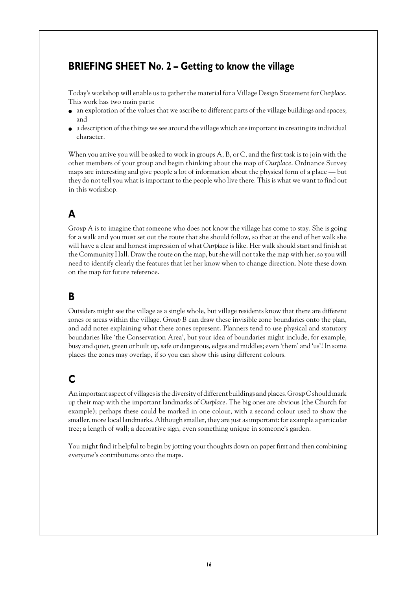#### **BRIEFING SHEET No. 2 – Getting to know the village**

Today's workshop will enable us to gather the material for a Village Design Statement for *Ourplace*. This work has two main parts:

- an exploration of the values that we ascribe to different parts of the village buildings and spaces; and
- a description of the things we see around the village which are important in creating its individual character.

When you arrive you will be asked to work in groups A, B, or C, and the first task is to join with the other members of your group and begin thinking about the map of *Ourplace*. Ordnance Survey maps are interesting and give people a lot of information about the physical form of a place — but they do not tell you what is important to the people who live there. This is what we want to find out in this workshop.

# **A**

*Group A* is to imagine that someone who does not know the village has come to stay. She is going for a walk and you must set out the route that she should follow, so that at the end of her walk she will have a clear and honest impression of what *Ourplace* is like. Her walk should start and finish at the Community Hall. Draw the route on the map, but she will not take the map with her, so you will need to identify clearly the features that let her know when to change direction. Note these down on the map for future reference.

#### **B**

Outsiders might see the village as a single whole, but village residents know that there are different zones or areas within the village. *Group B* can draw these invisible zone boundaries onto the plan, and add notes explaining what these zones represent. Planners tend to use physical and statutory boundaries like 'the Conservation Area', but your idea of boundaries might include, for example, busy and quiet, green or built up, safe or dangerous, edges and middles; even 'them' and 'us'! In some places the zones may overlap, if so you can show this using different colours.

# **C**

An important aspect of villages is the diversity of different buildings and places. *Group C* should mark up their map with the important landmarks of *Ourplace*. The big ones are obvious (the Church for example); perhaps these could be marked in one colour, with a second colour used to show the smaller, more local landmarks. Although smaller, they are just as important: for example a particular tree; a length of wall; a decorative sign, even something unique in someone's garden.

You might find it helpful to begin by jotting your thoughts down on paper first and then combining everyone's contributions onto the maps.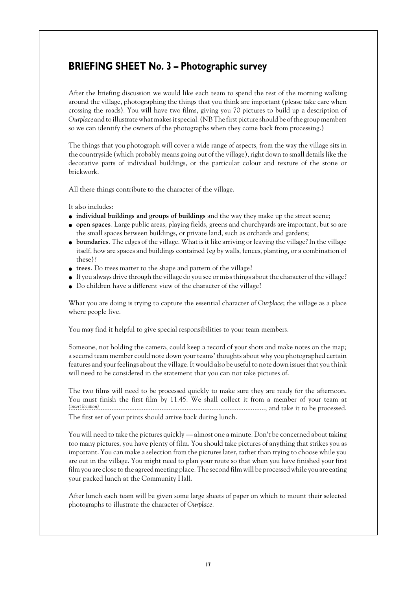#### **BRIEFING SHEET No. 3 – Photographic survey**

After the briefing discussion we would like each team to spend the rest of the morning walking around the village, photographing the things that you think are important (please take care when crossing the roads). You will have two films, giving you 70 pictures to build up a description of *Ourplace* and to illustrate what makes it special. (NB The first picture should be of the group members so we can identify the owners of the photographs when they come back from processing.)

The things that you photograph will cover a wide range of aspects, from the way the village sits in the countryside (which probably means going out of the village), right down to small details like the decorative parts of individual buildings, or the particular colour and texture of the stone or brickwork.

All these things contribute to the character of the village.

It also includes:

- **individual buildings and groups of buildings** and the way they make up the street scene;
- **open spaces**. Large public areas, playing fields, greens and churchyards are important, but so are the small spaces between buildings, or private land, such as orchards and gardens;
- **boundaries**. The edges of the village. What is it like arriving or leaving the village? In the village itself, how are spaces and buildings contained (eg by walls, fences, planting, or a combination of these)?
- **trees**. Do trees matter to the shape and pattern of the village?
- If you always drive through the village do you see or miss things about the character of the village?
- Do children have a different view of the character of the village?

What you are doing is trying to capture the essential character of *Ourplace*; the village as a place where people live.

You may find it helpful to give special responsibilities to your team members.

Someone, not holding the camera, could keep a record of your shots and make notes on the map; a second team member could note down your teams' thoughts about why you photographed certain features and your feelings about the village. It would also be useful to note down issues that you think will need to be considered in the statement that you can not take pictures of.

The two films will need to be processed quickly to make sure they are ready for the afternoon. You must finish the first film by 11.45. We shall collect it from a member of your team at .............................................................................................................., and take it to be processed. *(insert location)* The first set of your prints should arrive back during lunch.

You will need to take the pictures quickly — almost one a minute. Don't be concerned about taking too many pictures, you have plenty of film. You should take pictures of anything that strikes you as important. You can make a selection from the pictures later, rather than trying to choose while you are out in the village. You might need to plan your route so that when you have finished your first film you are close to the agreed meeting place. The second film will be processed while you are eating your packed lunch at the Community Hall.

After lunch each team will be given some large sheets of paper on which to mount their selected photographs to illustrate the character of *Ourplace*.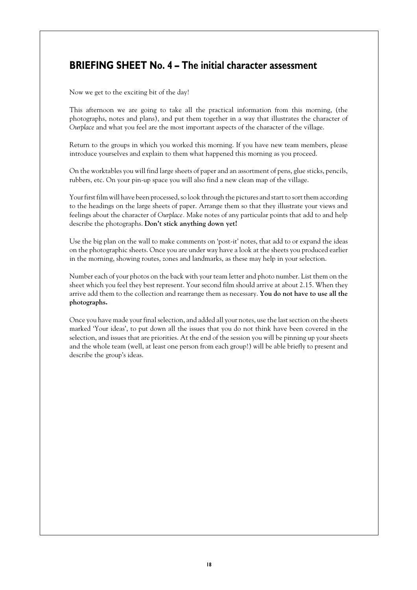### **BRIEFING SHEET No. 4 – The initial character assessment**

Now we get to the exciting bit of the day!

This afternoon we are going to take all the practical information from this morning, (the photographs, notes and plans), and put them together in a way that illustrates the character of *Ourplace* and what you feel are the most important aspects of the character of the village.

Return to the groups in which you worked this morning. If you have new team members, please introduce yourselves and explain to them what happened this morning as you proceed.

On the worktables you will find large sheets of paper and an assortment of pens, glue sticks, pencils, rubbers, etc. On your pin-up space you will also find a new clean map of the village.

Your first film will have been processed, so look through the pictures and start to sort them according to the headings on the large sheets of paper. Arrange them so that they illustrate your views and feelings about the character of *Ourplace.* Make notes of any particular points that add to and help describe the photographs. **Don't stick anything down yet!**

Use the big plan on the wall to make comments on 'post-it' notes, that add to or expand the ideas on the photographic sheets. Once you are under way have a look at the sheets you produced earlier in the morning, showing routes, zones and landmarks, as these may help in your selection.

Number each of your photos on the back with your team letter and photo number. List them on the sheet which you feel they best represent. Your second film should arrive at about 2.15. When they arrive add them to the collection and rearrange them as necessary. **You do not have to use all the photographs.**

Once you have made your final selection, and added all your notes, use the last section on the sheets marked 'Your ideas', to put down all the issues that you do not think have been covered in the selection, and issues that are priorities. At the end of the session you will be pinning up your sheets and the whole team (well, at least one person from each group!) will be able briefly to present and describe the group's ideas.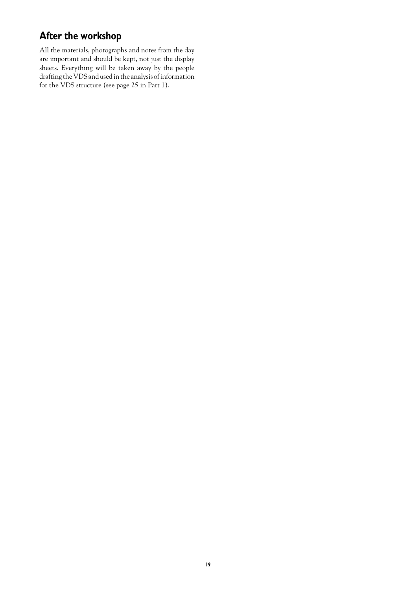# **After the workshop**

All the materials, photographs and notes from the day are important and should be kept, not just the display sheets. Everything will be taken away by the people drafting the VDS and used in the analysis of information for the VDS structure (see page 25 in Part 1).